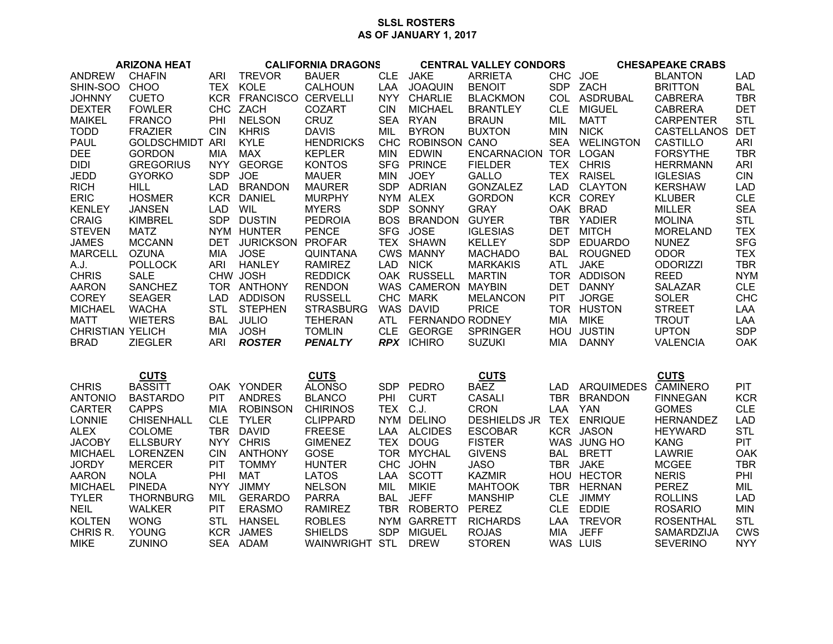## **SLSL ROSTERS AS OF JANUARY 1, 2017**

| <b>ARIZONA HEAT</b>     |                        | <b>CALIFORNIA DRAGONS</b> |                        |                  | <b>CENTRAL VALLEY CONDORS</b> |                     |                       | <b>CHESAPEAKE CRABS</b> |                         |                  |            |
|-------------------------|------------------------|---------------------------|------------------------|------------------|-------------------------------|---------------------|-----------------------|-------------------------|-------------------------|------------------|------------|
| <b>ANDREW</b>           | <b>CHAFIN</b>          | ARI                       | <b>TREVOR</b>          | <b>BAUER</b>     | <b>CLE</b>                    | <b>JAKE</b>         | <b>ARRIETA</b>        | CHC JOE                 |                         | <b>BLANTON</b>   | <b>LAD</b> |
| SHIN-SOO                | <b>CHOO</b>            |                           | TEX KOLE               | <b>CALHOUN</b>   | LAA                           | <b>JOAQUIN</b>      | <b>BENOIT</b>         | SDP                     | ZACH                    | <b>BRITTON</b>   | <b>BAL</b> |
| <b>JOHNNY</b>           | <b>CUETO</b>           |                           | KCR FRANCISCO CERVELLI |                  | NYY .                         | <b>CHARLIE</b>      | <b>BLACKMON</b>       |                         | COL ASDRUBAL            | <b>CABRERA</b>   | <b>TBR</b> |
| <b>DEXTER</b>           | <b>FOWLER</b>          |                           | CHC ZACH               | <b>COZART</b>    | <b>CIN</b>                    | <b>MICHAEL</b>      | <b>BRANTLEY</b>       | <b>CLE</b>              | <b>MIGUEL</b>           | <b>CABRERA</b>   | <b>DET</b> |
| <b>MAIKEL</b>           | <b>FRANCO</b>          | PHI                       | <b>NELSON</b>          | <b>CRUZ</b>      | SEA                           | <b>RYAN</b>         | <b>BRAUN</b>          | MIL                     | <b>MATT</b>             | <b>CARPENTER</b> | <b>STL</b> |
| <b>TODD</b>             | <b>FRAZIER</b>         | <b>CIN</b>                | <b>KHRIS</b>           | <b>DAVIS</b>     | MIL                           | <b>BYRON</b>        | <b>BUXTON</b>         | <b>MIN</b>              | <b>NICK</b>             | CASTELLANOS      | <b>DET</b> |
| <b>PAUL</b>             | <b>GOLDSCHMIDT ARI</b> |                           | <b>KYLE</b>            | <b>HENDRICKS</b> |                               | CHC ROBINSON CANO   |                       |                         | SEA WELINGTON           | <b>CASTILLO</b>  | <b>ARI</b> |
| <b>DEE</b>              | <b>GORDON</b>          | MIA                       | <b>MAX</b>             | <b>KEPLER</b>    | <b>MIN</b>                    | <b>EDWIN</b>        | ENCARNACION TOR LOGAN |                         |                         | <b>FORSYTHE</b>  | <b>TBR</b> |
| <b>DIDI</b>             | <b>GREGORIUS</b>       | <b>NYY</b>                | <b>GEORGE</b>          | <b>KONTOS</b>    |                               | SFG PRINCE          | <b>FIELDER</b>        |                         | TEX CHRIS               | <b>HERRMANN</b>  | <b>ARI</b> |
| <b>JEDD</b>             | <b>GYORKO</b>          | <b>SDP</b>                | <b>JOE</b>             | <b>MAUER</b>     | <b>MIN</b>                    | <b>JOEY</b>         | <b>GALLO</b>          |                         | TEX RAISEL              | <b>IGLESIAS</b>  | <b>CIN</b> |
| <b>RICH</b>             | HILL                   | <b>LAD</b>                | <b>BRANDON</b>         | <b>MAURER</b>    |                               | SDP ADRIAN          | <b>GONZALEZ</b>       | LAD                     | <b>CLAYTON</b>          | <b>KERSHAW</b>   | <b>LAD</b> |
| <b>ERIC</b>             | <b>HOSMER</b>          |                           | <b>KCR DANIEL</b>      | <b>MURPHY</b>    |                               | NYM ALEX            | <b>GORDON</b>         |                         | KCR COREY               | <b>KLUBER</b>    | <b>CLE</b> |
| <b>KENLEY</b>           | <b>JANSEN</b>          | <b>LAD</b>                | WIL                    | <b>MYERS</b>     |                               | SDP SONNY           | <b>GRAY</b>           |                         | OAK BRAD                | <b>MILLER</b>    | <b>SEA</b> |
| <b>CRAIG</b>            | <b>KIMBREL</b>         |                           | SDP DUSTIN             | <b>PEDROIA</b>   |                               | BOS BRANDON         | <b>GUYER</b>          |                         | TBR YADIER              | <b>MOLINA</b>    | <b>STL</b> |
| <b>STEVEN</b>           | <b>MATZ</b>            |                           | NYM HUNTER             | <b>PENCE</b>     |                               | SFG JOSE            | <b>IGLESIAS</b>       | <b>DET</b>              | <b>MITCH</b>            | <b>MORELAND</b>  | <b>TEX</b> |
| <b>JAMES</b>            | <b>MCCANN</b>          | DET                       | <b>JURICKSON</b>       | <b>PROFAR</b>    |                               | TEX SHAWN           | <b>KELLEY</b>         |                         | SDP EDUARDO             | <b>NUNEZ</b>     | <b>SFG</b> |
| <b>MARCELL</b>          | <b>OZUNA</b>           | MIA                       | <b>JOSE</b>            | <b>QUINTANA</b>  |                               | <b>CWS MANNY</b>    | <b>MACHADO</b>        | <b>BAL</b>              | <b>ROUGNED</b>          | <b>ODOR</b>      | <b>TEX</b> |
| A.J.                    | <b>POLLOCK</b>         | ARI                       | <b>HANLEY</b>          | <b>RAMIREZ</b>   | <b>LAD</b>                    | <b>NICK</b>         | <b>MARKAKIS</b>       | <b>ATL</b>              | <b>JAKE</b>             | <b>ODORIZZI</b>  | <b>TBR</b> |
| <b>CHRIS</b>            | <b>SALE</b>            |                           | CHW JOSH               | <b>REDDICK</b>   |                               | OAK RUSSELL         | <b>MARTIN</b>         |                         | TOR ADDISON             | <b>REED</b>      | <b>NYM</b> |
| <b>AARON</b>            | <b>SANCHEZ</b>         |                           | TOR ANTHONY            | <b>RENDON</b>    |                               | WAS CAMERON MAYBIN  |                       |                         | DET DANNY               | <b>SALAZAR</b>   | <b>CLE</b> |
| <b>COREY</b>            | <b>SEAGER</b>          | <b>LAD</b>                | <b>ADDISON</b>         | <b>RUSSELL</b>   |                               | CHC MARK            | <b>MELANCON</b>       | <b>PIT</b>              | <b>JORGE</b>            | <b>SOLER</b>     | CHC        |
| <b>MICHAEL</b>          | <b>WACHA</b>           | <b>STL</b>                | <b>STEPHEN</b>         | <b>STRASBURG</b> |                               | WAS DAVID           | <b>PRICE</b>          |                         | TOR HUSTON              | <b>STREET</b>    | LAA        |
| <b>MATT</b>             | <b>WIETERS</b>         |                           | BAL JULIO              | <b>TEHERAN</b>   |                               | ATL FERNANDO RODNEY |                       | MIA                     | <b>MIKE</b>             | <b>TROUT</b>     | <b>LAA</b> |
| <b>CHRISTIAN YELICH</b> |                        | MIA                       | <b>JOSH</b>            | <b>TOMLIN</b>    |                               | CLE GEORGE          | <b>SPRINGER</b>       |                         | HOU JUSTIN              | <b>UPTON</b>     | <b>SDP</b> |
| <b>BRAD</b>             | <b>ZIEGLER</b>         | <b>ARI</b>                | <b>ROSTER</b>          | <b>PENALTY</b>   |                               | <b>RPX</b> ICHIRO   | <b>SUZUKI</b>         | MIA                     | <b>DANNY</b>            | <b>VALENCIA</b>  | OAK        |
|                         |                        |                           |                        |                  |                               |                     |                       |                         |                         |                  |            |
|                         |                        |                           |                        |                  |                               |                     |                       |                         |                         |                  |            |
|                         | <b>CUTS</b>            |                           |                        | <b>CUTS</b>      |                               |                     | <b>CUTS</b>           |                         |                         | <b>CUTS</b>      |            |
| <b>CHRIS</b>            | <b>BASSITT</b>         |                           | OAK YONDER             | <b>ALONSO</b>    |                               | SDP PEDRO           | <b>BAEZ</b>           |                         | LAD ARQUIMEDES CAMINERO |                  | <b>PIT</b> |
| <b>ANTONIO</b>          | <b>BASTARDO</b>        | <b>PIT</b>                | <b>ANDRES</b>          | <b>BLANCO</b>    | PHI                           | <b>CURT</b>         | <b>CASALI</b>         |                         | TBR BRANDON             | <b>FINNEGAN</b>  | <b>KCR</b> |
| <b>CARTER</b>           | <b>CAPPS</b>           | <b>MIA</b>                | <b>ROBINSON</b>        | <b>CHIRINOS</b>  | TEX C.J.                      |                     | <b>CRON</b>           | LAA YAN                 |                         | <b>GOMES</b>     | <b>CLE</b> |
| LONNIE                  | <b>CHISENHALL</b>      | <b>CLE</b>                | <b>TYLER</b>           | <b>CLIPPARD</b>  |                               | NYM DELINO          | <b>DESHIELDS JR</b>   |                         | TEX ENRIQUE             | <b>HERNANDEZ</b> | <b>LAD</b> |
| <b>ALEX</b>             | COLOME                 |                           | TBR DAVID              | <b>FREESE</b>    |                               | LAA ALCIDES         | <b>ESCOBAR</b>        |                         | KCR JASON               | <b>HEYWARD</b>   | <b>STL</b> |
| <b>JACOBY</b>           | <b>ELLSBURY</b>        |                           | NYY CHRIS              | <b>GIMENEZ</b>   | <b>TEX</b>                    | <b>DOUG</b>         | <b>FISTER</b>         |                         | WAS JUNG HO             | <b>KANG</b>      | <b>PIT</b> |
| <b>MICHAEL</b>          | <b>LORENZEN</b>        | <b>CIN</b>                | <b>ANTHONY</b>         | <b>GOSE</b>      |                               | TOR MYCHAL          | <b>GIVENS</b>         | <b>BAL</b>              | <b>BRETT</b>            | <b>LAWRIE</b>    | OAK        |
| <b>JORDY</b>            | <b>MERCER</b>          | <b>PIT</b>                | <b>TOMMY</b>           | <b>HUNTER</b>    |                               | CHC JOHN            | <b>JASO</b>           |                         | TBR JAKE                | <b>MCGEE</b>     | <b>TBR</b> |
| <b>AARON</b>            | <b>NOLA</b>            | PHI                       | <b>MAT</b>             | <b>LATOS</b>     | LAA                           | <b>SCOTT</b>        | <b>KAZMIR</b>         |                         | HOU HECTOR              | <b>NERIS</b>     | PHI        |
| <b>MICHAEL</b>          | <b>PINEDA</b>          |                           | NYY JIMMY              | <b>NELSON</b>    | MIL                           | <b>MIKIE</b>        | <b>MAHTOOK</b>        |                         | TBR HERNAN              | <b>PEREZ</b>     | MIL        |
| <b>TYLER</b>            | <b>THORNBURG</b>       | MIL                       | <b>GERARDO</b>         | <b>PARRA</b>     | <b>BAL</b>                    | <b>JEFF</b>         | <b>MANSHIP</b>        | <b>CLE</b>              | <b>JIMMY</b>            | <b>ROLLINS</b>   | <b>LAD</b> |
| <b>NEIL</b>             | <b>WALKER</b>          | <b>PIT</b>                | <b>ERASMO</b>          | <b>RAMIREZ</b>   | <b>TBR</b>                    | <b>ROBERTO</b>      | <b>PEREZ</b>          | <b>CLE</b>              | <b>EDDIE</b>            | <b>ROSARIO</b>   | <b>MIN</b> |
| <b>KOLTEN</b>           | <b>WONG</b>            | <b>STL</b>                | <b>HANSEL</b>          | <b>ROBLES</b>    |                               | NYM GARRETT         | <b>RICHARDS</b>       | LAA                     | <b>TREVOR</b>           | <b>ROSENTHAL</b> | <b>STL</b> |
| CHRIS R.                | <b>YOUNG</b>           |                           | KCR JAMES              | <b>SHIELDS</b>   | <b>SDP</b>                    | <b>MIGUEL</b>       | <b>ROJAS</b>          | <b>MIA</b>              | <b>JEFF</b>             | SAMARDZIJA       | <b>CWS</b> |
| <b>MIKE</b>             | <b>ZUNINO</b>          |                           | SEA ADAM               | WAINWRIGHT STL   |                               | <b>DREW</b>         | <b>STOREN</b>         |                         | WAS LUIS                | <b>SEVERINO</b>  | <b>NYY</b> |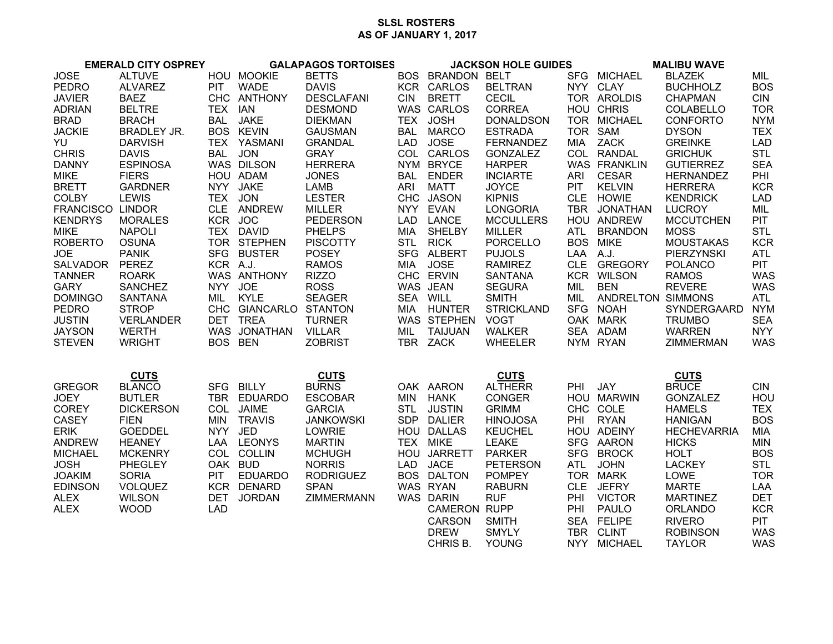## **SLSL ROSTERSAS OF JANUARY 1, 2017**

| <b>EMERALD CITY OSPREY</b> |                    |            | <b>GALAPAGOS TORTOISES</b> |                   |            | <b>JACKSON HOLE GUIDES</b> |                   |            | <b>MALIBU WAVE</b>    |                    |            |
|----------------------------|--------------------|------------|----------------------------|-------------------|------------|----------------------------|-------------------|------------|-----------------------|--------------------|------------|
| <b>JOSE</b>                | <b>ALTUVE</b>      |            | HOU MOOKIE                 | <b>BETTS</b>      |            | BOS BRANDON BELT           |                   |            | SFG MICHAEL           | <b>BLAZEK</b>      | MIL        |
| <b>PEDRO</b>               | <b>ALVAREZ</b>     | PIT        | <b>WADE</b>                | <b>DAVIS</b>      |            | KCR CARLOS                 | <b>BELTRAN</b>    |            | NYY CLAY              | <b>BUCHHOLZ</b>    | <b>BOS</b> |
| <b>JAVIER</b>              | <b>BAEZ</b>        |            | CHC ANTHONY                | <b>DESCLAFANI</b> | <b>CIN</b> | <b>BRETT</b>               | <b>CECIL</b>      |            | TOR AROLDIS           | <b>CHAPMAN</b>     | <b>CIN</b> |
| <b>ADRIAN</b>              | <b>BELTRE</b>      | TEX IAN    |                            | <b>DESMOND</b>    |            | WAS CARLOS                 | <b>CORREA</b>     |            | HOU CHRIS             | COLABELLO          | <b>TOR</b> |
| <b>BRAD</b>                | <b>BRACH</b>       |            | BAL JAKE                   | <b>DIEKMAN</b>    |            | TEX JOSH                   | <b>DONALDSON</b>  |            | TOR MICHAEL           | <b>CONFORTO</b>    | <b>NYM</b> |
| <b>JACKIE</b>              | <b>BRADLEY JR.</b> |            | <b>BOS KEVIN</b>           | <b>GAUSMAN</b>    |            | BAL MARCO                  | <b>ESTRADA</b>    |            | TOR SAM               | <b>DYSON</b>       | <b>TEX</b> |
| YU                         | <b>DARVISH</b>     |            | TEX YASMANI                | <b>GRANDAL</b>    |            | LAD JOSE                   | <b>FERNANDEZ</b>  |            | MIA ZACK              | <b>GREINKE</b>     | <b>LAD</b> |
| <b>CHRIS</b>               | <b>DAVIS</b>       | BAL JON    |                            | <b>GRAY</b>       |            | COL CARLOS                 | <b>GONZALEZ</b>   |            | COL RANDAL            | <b>GRICHUK</b>     | <b>STL</b> |
| <b>DANNY</b>               | <b>ESPINOSA</b>    |            | WAS DILSON                 | <b>HERRERA</b>    |            | NYM BRYCE                  | <b>HARPER</b>     |            | WAS FRANKLIN          | <b>GUTIERREZ</b>   | <b>SEA</b> |
| <b>MIKE</b>                | <b>FIERS</b>       |            | HOU ADAM                   | <b>JONES</b>      |            | BAL ENDER                  | <b>INCIARTE</b>   | ARI        | <b>CESAR</b>          | <b>HERNANDEZ</b>   | PHI        |
| <b>BRETT</b>               | <b>GARDNER</b>     |            | NYY JAKE                   | LAMB              |            | ARI MATT                   | <b>JOYCE</b>      | <b>PIT</b> | <b>KELVIN</b>         | <b>HERRERA</b>     | <b>KCR</b> |
| <b>COLBY</b>               | <b>LEWIS</b>       | TEX JON    |                            | <b>LESTER</b>     |            | CHC JASON                  | <b>KIPNIS</b>     |            | CLE HOWIE             | <b>KENDRICK</b>    | LAD        |
| <b>FRANCISCO LINDOR</b>    |                    |            | CLE ANDREW                 | <b>MILLER</b>     |            | NYY EVAN                   | <b>LONGORIA</b>   |            | TBR JONATHAN          | <b>LUCROY</b>      | MIL        |
| <b>KENDRYS</b>             | <b>MORALES</b>     | KCR JOC    |                            | <b>PEDERSON</b>   |            | LAD LANCE                  | <b>MCCULLERS</b>  |            | HOU ANDREW            | <b>MCCUTCHEN</b>   | <b>PIT</b> |
| <b>MIKE</b>                | <b>NAPOLI</b>      |            | TEX DAVID                  | <b>PHELPS</b>     |            | MIA SHELBY                 | <b>MILLER</b>     |            | ATL BRANDON           | <b>MOSS</b>        | <b>STL</b> |
| <b>ROBERTO</b>             | <b>OSUNA</b>       |            | TOR STEPHEN                | <b>PISCOTTY</b>   |            | STL RICK                   | <b>PORCELLO</b>   |            | <b>BOS MIKE</b>       | <b>MOUSTAKAS</b>   | <b>KCR</b> |
| <b>JOE</b>                 | <b>PANIK</b>       |            | SFG BUSTER                 | <b>POSEY</b>      |            | SFG ALBERT                 | <b>PUJOLS</b>     | LAA A.J.   |                       | PIERZYNSKI         | <b>ATL</b> |
| <b>SALVADOR</b>            | PEREZ              | KCR A.J.   |                            | <b>RAMOS</b>      |            | MIA JOSE                   | <b>RAMIREZ</b>    |            | CLE GREGORY           | <b>POLANCO</b>     | <b>PIT</b> |
| <b>TANNER</b>              | <b>ROARK</b>       |            | WAS ANTHONY                | <b>RIZZO</b>      |            | CHC ERVIN                  | <b>SANTANA</b>    |            | <b>KCR WILSON</b>     | <b>RAMOS</b>       | <b>WAS</b> |
| <b>GARY</b>                | <b>SANCHEZ</b>     | NYY JOE    |                            | <b>ROSS</b>       |            | WAS JEAN                   | <b>SEGURA</b>     | MIL        | BEN                   | <b>REVERE</b>      | <b>WAS</b> |
| <b>DOMINGO</b>             | <b>SANTANA</b>     |            | MIL KYLE                   | <b>SEAGER</b>     |            | SEA WILL                   | <b>SMITH</b>      |            | MIL ANDRELTON SIMMONS |                    | <b>ATL</b> |
| <b>PEDRO</b>               | <b>STROP</b>       |            | CHC GIANCARLO STANTON      |                   |            | MIA HUNTER                 | <b>STRICKLAND</b> |            | SFG NOAH              | SYNDERGAARD        | <b>NYM</b> |
| <b>JUSTIN</b>              | <b>VERLANDER</b>   |            | DET TREA                   | <b>TURNER</b>     |            | WAS STEPHEN VOGT           |                   |            | OAK MARK              | <b>TRUMBO</b>      | <b>SEA</b> |
| <b>JAYSON</b>              | <b>WERTH</b>       |            | WAS JONATHAN               | <b>VILLAR</b>     |            | MIL TAIJUAN                | WALKER            |            | SEA ADAM              | <b>WARREN</b>      | <b>NYY</b> |
| <b>STEVEN</b>              | <b>WRIGHT</b>      | BOS BEN    |                            | <b>ZOBRIST</b>    |            | TBR ZACK                   | <b>WHEELER</b>    |            | NYM RYAN              | <b>ZIMMERMAN</b>   | WAS        |
|                            |                    |            |                            |                   |            |                            |                   |            |                       |                    |            |
|                            |                    |            |                            |                   |            |                            |                   |            |                       |                    |            |
|                            | <b>CUTS</b>        |            |                            | <b>CUTS</b>       |            |                            | <b>CUTS</b>       |            |                       | <b>CUTS</b>        |            |
| <b>GREGOR</b>              | <b>BLANCO</b>      |            | SFG BILLY                  | <b>BURNS</b>      |            | OAK AARON                  | <b>ALTHERR</b>    | PHI JAY    |                       | <b>BRUCE</b>       | <b>CIN</b> |
| <b>JOEY</b>                | <b>BUTLER</b>      |            | TBR EDUARDO                | <b>ESCOBAR</b>    |            | MIN HANK                   | <b>CONGER</b>     |            | HOU MARWIN            | <b>GONZALEZ</b>    | HOU        |
| <b>COREY</b>               | <b>DICKERSON</b>   |            | COL JAIME                  | <b>GARCIA</b>     |            | STL JUSTIN                 | <b>GRIMM</b>      |            | CHC COLE              | <b>HAMELS</b>      | <b>TEX</b> |
| CASEY                      | <b>FIEN</b>        |            | MIN TRAVIS                 | <b>JANKOWSKI</b>  |            | SDP DALIER                 | <b>HINOJOSA</b>   |            | PHI RYAN              | <b>HANIGAN</b>     | <b>BOS</b> |
| <b>ERIK</b>                | <b>GOEDDEL</b>     | NYY JED    |                            | LOWRIE            |            | HOU DALLAS                 | <b>KEUCHEL</b>    |            | HOU ADEINY            | <b>HECHEVARRIA</b> | MIA        |
| <b>ANDREW</b>              | <b>HEANEY</b>      |            | LAA LEONYS                 | <b>MARTIN</b>     |            | TEX MIKE                   | <b>LEAKE</b>      |            | SFG AARON             | <b>HICKS</b>       | <b>MIN</b> |
| <b>MICHAEL</b>             | <b>MCKENRY</b>     |            | COL COLLIN                 | <b>MCHUGH</b>     |            | HOU JARRETT                | <b>PARKER</b>     |            | SFG BROCK             | <b>HOLT</b>        | <b>BOS</b> |
| <b>JOSH</b>                | <b>PHEGLEY</b>     | OAK BUD    |                            | <b>NORRIS</b>     |            | LAD JACE                   | <b>PETERSON</b>   |            | ATL JOHN              | <b>LACKEY</b>      | <b>STL</b> |
| <b>JOAKIM</b>              | <b>SORIA</b>       | <b>PIT</b> | <b>EDUARDO</b>             | <b>RODRIGUEZ</b>  |            | <b>BOS DALTON</b>          | <b>POMPEY</b>     |            | TOR MARK              | LOWE               | <b>TOR</b> |
| <b>EDINSON</b>             | <b>VOLQUEZ</b>     |            | KCR DENARD                 | <b>SPAN</b>       |            | WAS RYAN                   | <b>RABURN</b>     |            | CLE JEFRY             | <b>MARTE</b>       | LAA        |
| <b>ALEX</b>                | <b>WILSON</b>      |            | DET JORDAN                 | <b>ZIMMERMANN</b> |            | <b>WAS DARIN</b>           | <b>RUF</b>        | PHI        | <b>VICTOR</b>         | <b>MARTINEZ</b>    | <b>DET</b> |
| <b>ALEX</b>                | <b>WOOD</b>        | <b>LAD</b> |                            |                   |            | <b>CAMERON RUPP</b>        |                   | PHI        | <b>PAULO</b>          | <b>ORLANDO</b>     | <b>KCR</b> |
|                            |                    |            |                            |                   |            | CARSON                     | <b>SMITH</b>      |            | SEA FELIPE            | <b>RIVERO</b>      | <b>PIT</b> |
|                            |                    |            |                            |                   |            | <b>DREW</b>                | <b>SMYLY</b>      |            | TBR CLINT             | <b>ROBINSON</b>    | <b>WAS</b> |
|                            |                    |            |                            |                   |            | CHRIS B.                   | YOUNG             |            | NYY MICHAEL           | <b>TAYLOR</b>      | <b>WAS</b> |